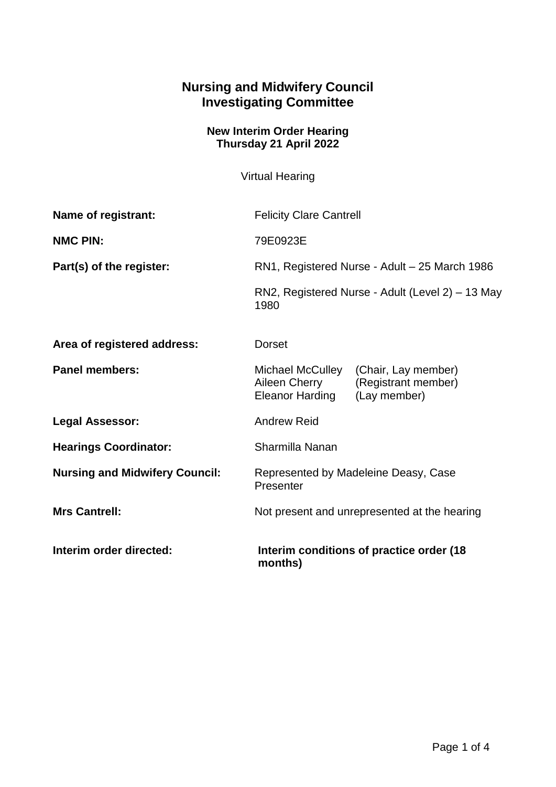## **Nursing and Midwifery Council Investigating Committee**

## **New Interim Order Hearing Thursday 21 April 2022**

Virtual Hearing

| Name of registrant:                   | <b>Felicity Clare Cantrell</b>                                                                                     |  |
|---------------------------------------|--------------------------------------------------------------------------------------------------------------------|--|
| <b>NMC PIN:</b>                       | 79E0923E                                                                                                           |  |
| Part(s) of the register:              | RN1, Registered Nurse - Adult - 25 March 1986<br>RN2, Registered Nurse - Adult (Level 2) – 13 May<br>1980          |  |
|                                       |                                                                                                                    |  |
| Area of registered address:           | <b>Dorset</b>                                                                                                      |  |
| <b>Panel members:</b>                 | Michael McCulley<br>(Chair, Lay member)<br>Aileen Cherry<br>(Registrant member)<br>Eleanor Harding<br>(Lay member) |  |
| <b>Legal Assessor:</b>                | <b>Andrew Reid</b>                                                                                                 |  |
| <b>Hearings Coordinator:</b>          | Sharmilla Nanan                                                                                                    |  |
| <b>Nursing and Midwifery Council:</b> | Represented by Madeleine Deasy, Case<br>Presenter                                                                  |  |
| <b>Mrs Cantrell:</b>                  | Not present and unrepresented at the hearing                                                                       |  |
| Interim order directed:               | Interim conditions of practice order (18<br>months)                                                                |  |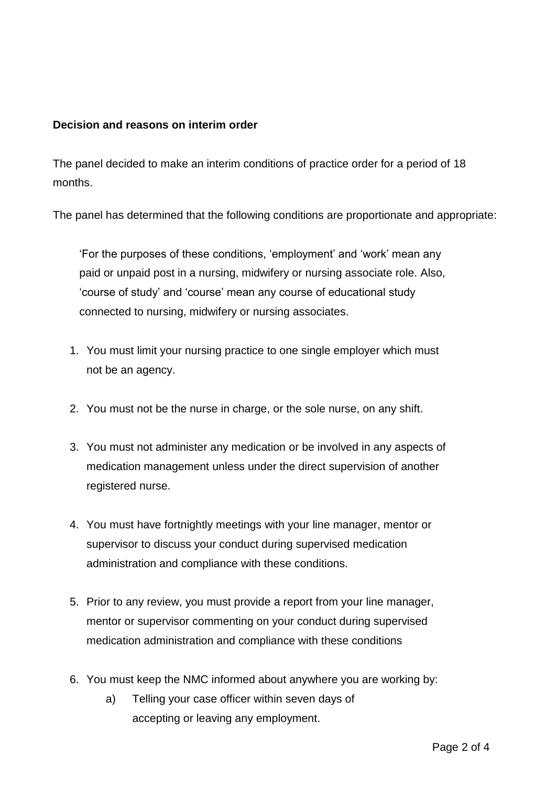## **Decision and reasons on interim order**

The panel decided to make an interim conditions of practice order for a period of 18 months.

The panel has determined that the following conditions are proportionate and appropriate:

'For the purposes of these conditions, 'employment' and 'work' mean any paid or unpaid post in a nursing, midwifery or nursing associate role. Also, 'course of study' and 'course' mean any course of educational study connected to nursing, midwifery or nursing associates.

- 1. You must limit your nursing practice to one single employer which must not be an agency.
- 2. You must not be the nurse in charge, or the sole nurse, on any shift.
- 3. You must not administer any medication or be involved in any aspects of medication management unless under the direct supervision of another registered nurse.
- 4. You must have fortnightly meetings with your line manager, mentor or supervisor to discuss your conduct during supervised medication administration and compliance with these conditions.
- 5. Prior to any review, you must provide a report from your line manager, mentor or supervisor commenting on your conduct during supervised medication administration and compliance with these conditions
- 6. You must keep the NMC informed about anywhere you are working by:
	- a) Telling your case officer within seven days of accepting or leaving any employment.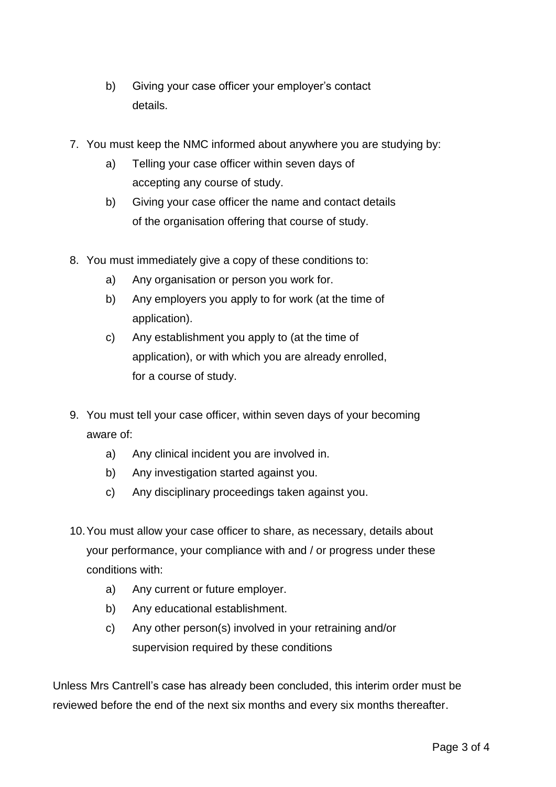- b) Giving your case officer your employer's contact details.
- 7. You must keep the NMC informed about anywhere you are studying by:
	- a) Telling your case officer within seven days of accepting any course of study.
	- b) Giving your case officer the name and contact details of the organisation offering that course of study.
- 8. You must immediately give a copy of these conditions to:
	- a) Any organisation or person you work for.
	- b) Any employers you apply to for work (at the time of application).
	- c) Any establishment you apply to (at the time of application), or with which you are already enrolled, for a course of study.
- 9. You must tell your case officer, within seven days of your becoming aware of:
	- a) Any clinical incident you are involved in.
	- b) Any investigation started against you.
	- c) Any disciplinary proceedings taken against you.
- 10.You must allow your case officer to share, as necessary, details about your performance, your compliance with and / or progress under these conditions with:
	- a) Any current or future employer.
	- b) Any educational establishment.
	- c) Any other person(s) involved in your retraining and/or supervision required by these conditions

Unless Mrs Cantrell's case has already been concluded, this interim order must be reviewed before the end of the next six months and every six months thereafter.